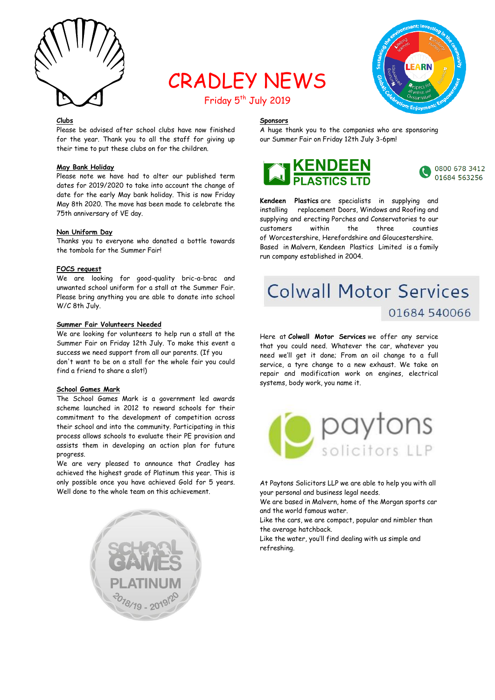

## CRADLEY NEWS Friday 5<sup>th</sup> July 2019



## **Clubs**

Please be advised after school clubs have now finished for the year. Thank you to all the staff for giving up their time to put these clubs on for the children.

## **May Bank Holiday**

Please note we have had to alter our published term dates for 2019/2020 to take into account the change of date for the early May bank holiday. This is now Friday May 8th 2020. The move has been made to celebrate the 75th anniversary of VE day.

## **Non Uniform Day**

Thanks you to everyone who donated a bottle towards the tombola for the Summer Fair!

## **FOCS request**

We are looking for good-quality bric-a-brac and unwanted school uniform for a stall at the Summer Fair. Please bring anything you are able to donate into school W/C 8th July.

## **Summer Fair Volunteers Needed**

We are looking for volunteers to help run a stall at the Summer Fair on Friday 12th July. To make this event a success we need support from all our parents. (If you don't want to be on a stall for the whole fair you could find a friend to share a slot!)

## **School Games Mark**

The School Games Mark is a government led awards scheme launched in 2012 to reward schools for their commitment to the development of competition across their school and into the community. Participating in this process allows schools to evaluate their PE provision and assists them in developing an action plan for future progress.

We are very pleased to announce that Cradley has achieved the highest grade of Platinum this year. This is only possible once you have achieved Gold for 5 years. Well done to the whole team on this achievement.



## **Sponsors**

A huge thank you to the companies who are sponsoring our Summer Fair on Friday 12th July 3-6pm!





**Kendeen Plastics** are specialists in supplying and installing replacement Doors, Windows and Roofing and supplying and erecting Porches and Conservatories to our customers within the three counties of Worcestershire, Herefordshire and Gloucestershire. Based in Malvern, Kendeen Plastics Limited is a family run company established in 2004.

# **Colwall Motor Services** 01684 540066

Here at **Colwall Motor Services** we offer any service that you could need. Whatever the car, whatever you need we'll get it done; From an oil change to a full service, a tyre change to a new exhaust. We take on repair and modification work on engines, electrical systems, body work, you name it.



At Paytons Solicitors LLP we are able to help you with all your personal and business legal needs.

We are based in Malvern, home of the Morgan sports car and the world famous water.

Like the cars, we are compact, popular and nimbler than the average hatchback.

Like the water, you'll find dealing with us simple and refreshing.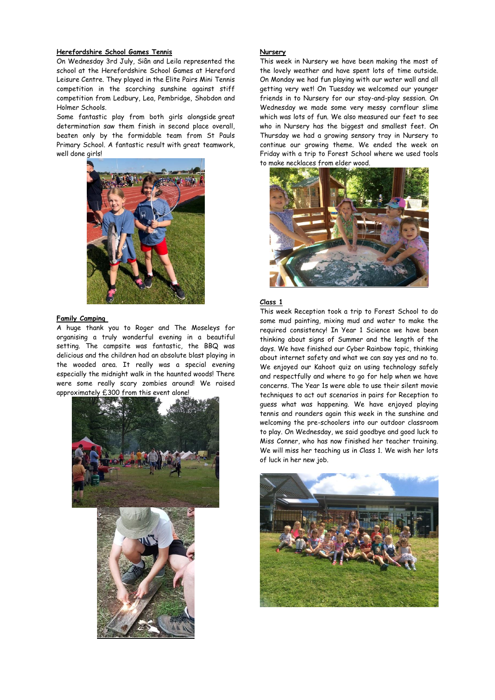## **Herefordshire School Games Tennis**

On Wednesday 3rd July, Siân and Leila represented the school at the Herefordshire School Games at Hereford Leisure Centre. They played in the Elite Pairs Mini Tennis competition in the scorching sunshine against stiff competition from Ledbury, Lea, Pembridge, Shobdon and Holmer Schools.

Some fantastic play from both girls alongside great determination saw them finish in second place overall, beaten only by the formidable team from St Pauls Primary School. A fantastic result with great teamwork, well done girls!



#### **Family Camping**

A huge thank you to Roger and The Moseleys for organising a truly wonderful evening in a beautiful setting. The campsite was fantastic, the BBQ was delicious and the children had an absolute blast playing in the wooded area. It really was a special evening especially the midnight walk in the haunted woods! There were some really scary zombies around! We raised approximately £300 from this event alone!



## **Nursery**

This week in Nursery we have been making the most of the lovely weather and have spent lots of time outside. On Monday we had fun playing with our water wall and all getting very wet! On Tuesday we welcomed our younger friends in to Nursery for our stay-and-play session. On Wednesday we made some very messy cornflour slime which was lots of fun. We also measured our feet to see who in Nursery has the biggest and smallest feet. On Thursday we had a growing sensory tray in Nursery to continue our growing theme. We ended the week on Friday with a trip to Forest School where we used tools to make necklaces from elder wood.



#### **Class 1**

This week Reception took a trip to Forest School to do some mud painting, mixing mud and water to make the required consistency! In Year 1 Science we have been thinking about signs of Summer and the length of the days. We have finished our Cyber Rainbow topic, thinking about internet safety and what we can say yes and no to. We enjoyed our Kahoot quiz on using technology safely and respectfully and where to go for help when we have concerns. The Year 1s were able to use their silent movie techniques to act out scenarios in pairs for Reception to guess what was happening. We have enjoyed playing tennis and rounders again this week in the sunshine and welcoming the pre-schoolers into our outdoor classroom to play. On Wednesday, we said goodbye and good luck to Miss Conner, who has now finished her teacher training. We will miss her teaching us in Class 1. We wish her lots of luck in her new job.